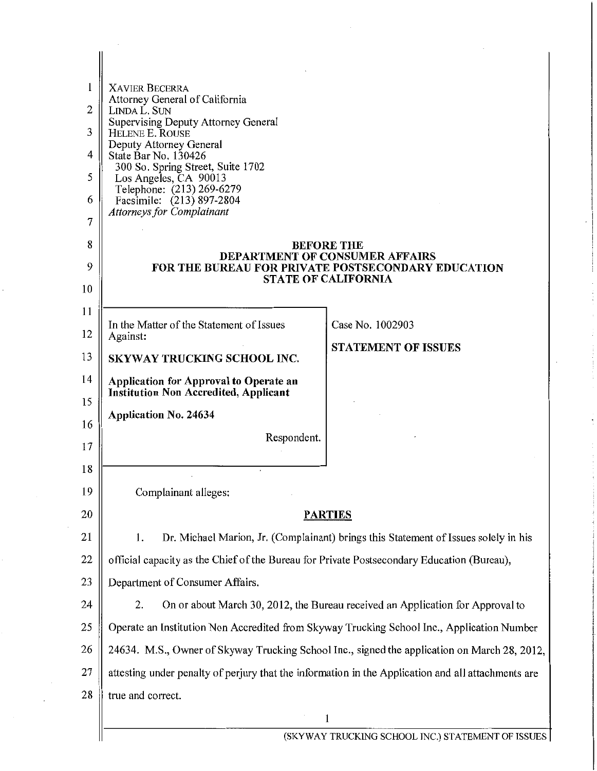| 1  | <b>XAVIER BECERRA</b>                                                                              |                                                                                              |
|----|----------------------------------------------------------------------------------------------------|----------------------------------------------------------------------------------------------|
| 2  | Attorney General of California<br>LINDA L. SUN                                                     |                                                                                              |
| 3  | Supervising Deputy Attorney General<br>HELENE E. ROUSE                                             |                                                                                              |
| 4  | Deputy Attorney General<br>State Bar No. 130426                                                    |                                                                                              |
| 5  | 300 So. Spring Street, Suite 1702<br>Los Angeles, CA 90013                                         |                                                                                              |
| 6  | Telephone: (213) 269-6279<br>Facsimile: (213) 897-2804                                             |                                                                                              |
| 7  | <b>Attorneys for Complainant</b>                                                                   |                                                                                              |
| 8  |                                                                                                    | <b>BEFORE THE</b>                                                                            |
| 9  | DEPARTMENT OF CONSUMER AFFAIRS<br><b>FOR THE BUREAU FOR PRIVATE POSTSECONDARY EDUCATION</b>        |                                                                                              |
| 10 |                                                                                                    | <b>STATE OF CALIFORNIA</b>                                                                   |
| 11 |                                                                                                    |                                                                                              |
| 12 | In the Matter of the Statement of Issues<br>Against:                                               | Case No. 1002903                                                                             |
| 13 | SKYWAY TRUCKING SCHOOL INC.                                                                        | <b>STATEMENT OF ISSUES</b>                                                                   |
| 14 | Application for Approval to Operate an                                                             |                                                                                              |
| 15 | <b>Institution Non Accredited, Applicant</b>                                                       |                                                                                              |
| 16 | <b>Application No. 24634</b>                                                                       |                                                                                              |
| 17 | Respondent.                                                                                        |                                                                                              |
| 18 |                                                                                                    |                                                                                              |
| 19 | Complainant alleges:                                                                               |                                                                                              |
| 20 |                                                                                                    | <b>PARTIES</b>                                                                               |
| 21 | 1.                                                                                                 | Dr. Michael Marion, Jr. (Complainant) brings this Statement of Issues solely in his          |
| 22 | official capacity as the Chief of the Bureau for Private Postsecondary Education (Bureau),         |                                                                                              |
| 23 | Department of Consumer Affairs.                                                                    |                                                                                              |
| 24 | 2.                                                                                                 | On or about March 30, 2012, the Bureau received an Application for Approval to               |
| 25 | Operate an Institution Non Accredited from Skyway Trucking School Inc., Application Number         |                                                                                              |
| 26 |                                                                                                    | 24634. M.S., Owner of Skyway Trucking School Inc., signed the application on March 28, 2012, |
| 27 | attesting under penalty of perjury that the information in the Application and all attachments are |                                                                                              |
| 28 | true and correct.                                                                                  |                                                                                              |
|    |                                                                                                    | 1                                                                                            |
|    |                                                                                                    | (SKYWAY TRUCKING SCHOOL INC.) STATEMENT OF ISSUES                                            |

 $\bar{z}$ 

 $\lambda$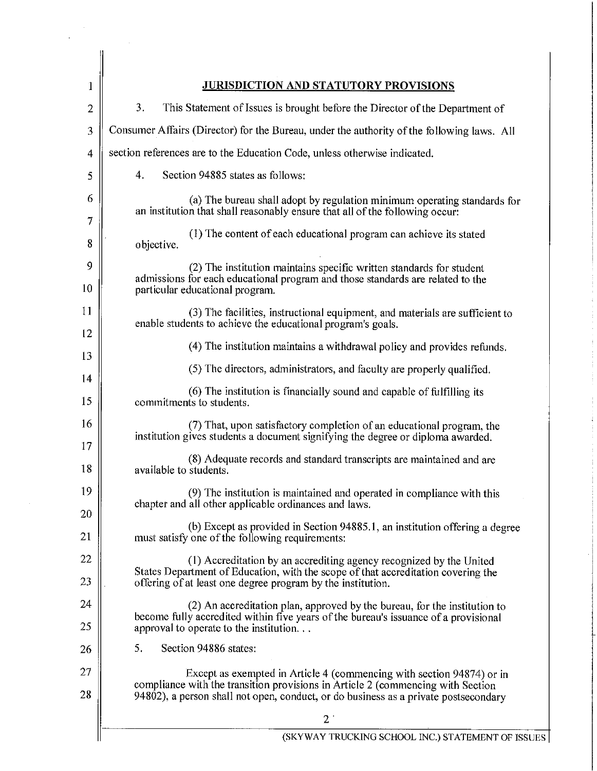| 1              | <b>JURISDICTION AND STATUTORY PROVISIONS</b>                                                                                                                                                                                                    |
|----------------|-------------------------------------------------------------------------------------------------------------------------------------------------------------------------------------------------------------------------------------------------|
| $\overline{2}$ | 3.<br>This Statement of Issues is brought before the Director of the Department of                                                                                                                                                              |
| 3              | Consumer Affairs (Director) for the Bureau, under the authority of the following laws. All                                                                                                                                                      |
| $\overline{4}$ | section references are to the Education Code, unless otherwise indicated.                                                                                                                                                                       |
| 5              | 4.<br>Section 94885 states as follows:                                                                                                                                                                                                          |
| 6<br>7         | (a) The bureau shall adopt by regulation minimum operating standards for<br>an institution that shall reasonably ensure that all of the following occur:                                                                                        |
| 8              | (1) The content of each educational program can achieve its stated<br>objective.                                                                                                                                                                |
| 9<br>10        | (2) The institution maintains specific written standards for student<br>admissions for each educational program and those standards are related to the<br>particular educational program.                                                       |
| 11<br>12       | (3) The facilities, instructional equipment, and materials are sufficient to<br>enable students to achieve the educational program's goals.                                                                                                     |
| 13             | (4) The institution maintains a withdrawal policy and provides refunds.                                                                                                                                                                         |
| 14             | (5) The directors, administrators, and faculty are properly qualified.                                                                                                                                                                          |
| 15             | (6) The institution is financially sound and capable of fulfilling its<br>commitments to students.                                                                                                                                              |
| 16<br>17       | (7) That, upon satisfactory completion of an educational program, the<br>institution gives students a document signifying the degree or diploma awarded.                                                                                        |
| 18             | (8) Adequate records and standard transcripts are maintained and are<br>available to students.                                                                                                                                                  |
| 19<br>20       | (9) The institution is maintained and operated in compliance with this<br>chapter and all other applicable ordinances and laws.                                                                                                                 |
| 21             | (b) Except as provided in Section 94885.1, an institution offering a degree<br>must satisfy one of the following requirements:                                                                                                                  |
| 22             | (1) Accreditation by an accrediting agency recognized by the United                                                                                                                                                                             |
| 23             | States Department of Education, with the scope of that accreditation covering the<br>offering of at least one degree program by the institution.                                                                                                |
| 24<br>25       | (2) An accreditation plan, approved by the bureau, for the institution to<br>become fully accredited within five years of the bureau's issuance of a provisional<br>approval to operate to the institution                                      |
| 26             | 5.<br>Section 94886 states:                                                                                                                                                                                                                     |
| 27<br>28       | Except as exempted in Article 4 (commencing with section 94874) or in<br>compliance with the transition provisions in Article 2 (commencing with Section<br>94802), a person shall not open, conduct, or do business as a private postsecondary |
|                | 2                                                                                                                                                                                                                                               |
|                | (SKYWAY TRUCKING SCHOOL INC.) STATEMENT OF ISSUES                                                                                                                                                                                               |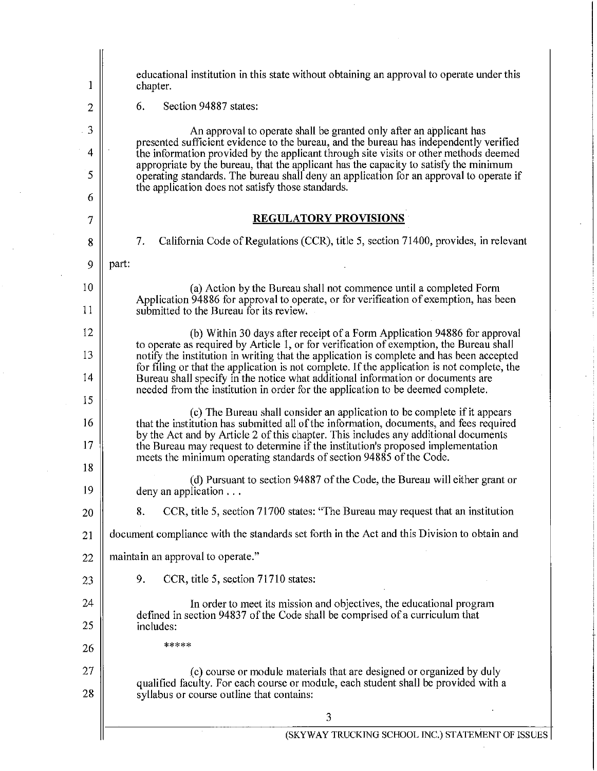| 1              | educational institution in this state without obtaining an approval to operate under this<br>chapter.                                                                                                                                 |
|----------------|---------------------------------------------------------------------------------------------------------------------------------------------------------------------------------------------------------------------------------------|
| $\overline{2}$ | Section 94887 states:<br>6.                                                                                                                                                                                                           |
| 3              | An approval to operate shall be granted only after an applicant has                                                                                                                                                                   |
| $\overline{4}$ | presented sufficient evidence to the bureau, and the bureau has independently verified<br>the information provided by the applicant through site visits or other methods deemed                                                       |
| 5              | appropriate by the bureau, that the applicant has the capacity to satisfy the minimum<br>operating standards. The bureau shall deny an application for an approval to operate if<br>the application does not satisfy those standards. |
| 6              |                                                                                                                                                                                                                                       |
| 7              | <b>REGULATORY PROVISIONS</b>                                                                                                                                                                                                          |
| 8              | California Code of Regulations (CCR), title 5, section 71400, provides, in relevant<br>7.                                                                                                                                             |
| 9              | part:                                                                                                                                                                                                                                 |
| 10             | (a) Action by the Bureau shall not commence until a completed Form<br>Application 94886 for approval to operate, or for verification of exemption, has been                                                                           |
| 11             | submitted to the Bureau for its review.                                                                                                                                                                                               |
| 12             | (b) Within 30 days after receipt of a Form Application 94886 for approval<br>to operate as required by Article 1, or for verification of exemption, the Bureau shall                                                                  |
| 13             | notify the institution in writing that the application is complete and has been accepted<br>for filing or that the application is not complete. If the application is not complete, the                                               |
| 14             | Bureau shall specify in the notice what additional information or documents are<br>needed from the institution in order for the application to be deemed complete.                                                                    |
| 15             | (c) The Bureau shall consider an application to be complete if it appears                                                                                                                                                             |
| 16             | that the institution has submitted all of the information, documents, and fees required<br>by the Act and by Article 2 of this chapter. This includes any additional documents                                                        |
| 17             | the Bureau may request to determine if the institution's proposed implementation<br>meets the minimum operating standards of section 94885 of the Code.                                                                               |
| 18             | (d) Pursuant to section 94887 of the Code, the Bureau will either grant or                                                                                                                                                            |
| 19             | deny an application                                                                                                                                                                                                                   |
| 20             | CCR, title 5, section 71700 states: "The Bureau may request that an institution<br>8.                                                                                                                                                 |
| 21             | document compliance with the standards set forth in the Act and this Division to obtain and                                                                                                                                           |
| 22             | maintain an approval to operate."                                                                                                                                                                                                     |
| 23             | 9.<br>CCR, title 5, section 71710 states:                                                                                                                                                                                             |
| 24             | In order to meet its mission and objectives, the educational program<br>defined in section 94837 of the Code shall be comprised of a curriculum that                                                                                  |
| 25             | includes:                                                                                                                                                                                                                             |
| 26             | *****                                                                                                                                                                                                                                 |
| 27             | (c) course or module materials that are designed or organized by duly                                                                                                                                                                 |
| 28             | qualified faculty. For each course or module, each student shall be provided with a<br>syllabus or course outline that contains:                                                                                                      |
|                | 3                                                                                                                                                                                                                                     |
|                | (SKYWAY TRUCKING SCHOOL INC.) STATEMENT OF ISSUES                                                                                                                                                                                     |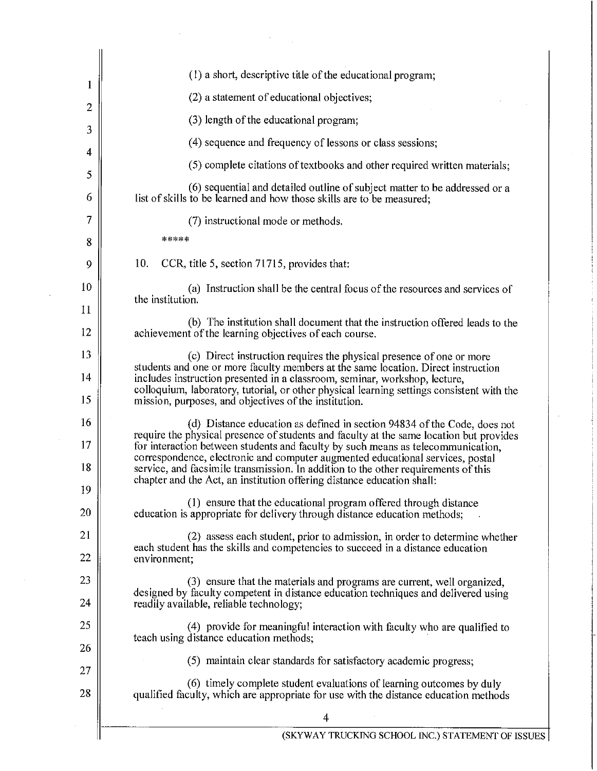| 1              | (1) a short, descriptive title of the educational program;                                                                                                                                                                                                                                                                                                                                                                                                                                                |
|----------------|-----------------------------------------------------------------------------------------------------------------------------------------------------------------------------------------------------------------------------------------------------------------------------------------------------------------------------------------------------------------------------------------------------------------------------------------------------------------------------------------------------------|
| $\overline{2}$ | (2) a statement of educational objectives;                                                                                                                                                                                                                                                                                                                                                                                                                                                                |
|                | (3) length of the educational program;                                                                                                                                                                                                                                                                                                                                                                                                                                                                    |
| 3              | (4) sequence and frequency of lessons or class sessions;                                                                                                                                                                                                                                                                                                                                                                                                                                                  |
| 4              | (5) complete citations of textbooks and other required written materials;                                                                                                                                                                                                                                                                                                                                                                                                                                 |
| 5<br>6         | (6) sequential and detailed outline of subject matter to be addressed or a<br>list of skills to be learned and how those skills are to be measured;                                                                                                                                                                                                                                                                                                                                                       |
| 7              | (7) instructional mode or methods.                                                                                                                                                                                                                                                                                                                                                                                                                                                                        |
| 8              | *****                                                                                                                                                                                                                                                                                                                                                                                                                                                                                                     |
| 9              | 10.<br>CCR, title 5, section 71715, provides that:                                                                                                                                                                                                                                                                                                                                                                                                                                                        |
| 10             | (a) Instruction shall be the central focus of the resources and services of<br>the institution.                                                                                                                                                                                                                                                                                                                                                                                                           |
| 11<br>12       | (b) The institution shall document that the instruction offered leads to the<br>achievement of the learning objectives of each course.                                                                                                                                                                                                                                                                                                                                                                    |
| 13             | (c) Direct instruction requires the physical presence of one or more                                                                                                                                                                                                                                                                                                                                                                                                                                      |
| 14<br>15       | students and one or more faculty members at the same location. Direct instruction<br>includes instruction presented in a classroom, seminar, workshop, lecture,<br>colloquium, laboratory, tutorial, or other physical learning settings consistent with the<br>mission, purposes, and objectives of the institution.                                                                                                                                                                                     |
| 16<br>17<br>18 | (d) Distance education as defined in section 94834 of the Code, does not<br>require the physical presence of students and faculty at the same location but provides<br>for interaction between students and faculty by such means as telecommunication,<br>correspondence, electronic and computer augmented educational services, postal<br>service, and facsimile transmission. In addition to the other requirements of this<br>chapter and the Act, an institution offering distance education shall: |
| 19<br>20       | (1) ensure that the educational program offered through distance<br>education is appropriate for delivery through distance education methods;                                                                                                                                                                                                                                                                                                                                                             |
| 21             | (2) assess each student, prior to admission, in order to determine whether                                                                                                                                                                                                                                                                                                                                                                                                                                |
| 22             | each student has the skills and competencies to succeed in a distance education<br>environment;                                                                                                                                                                                                                                                                                                                                                                                                           |
| 23             | (3) ensure that the materials and programs are current, well organized,<br>designed by faculty competent in distance education techniques and delivered using                                                                                                                                                                                                                                                                                                                                             |
| 24             | readily available, reliable technology;                                                                                                                                                                                                                                                                                                                                                                                                                                                                   |
| 25<br>26       | (4) provide for meaningful interaction with faculty who are qualified to<br>teach using distance education methods;                                                                                                                                                                                                                                                                                                                                                                                       |
| 27             | (5) maintain clear standards for satisfactory academic progress;                                                                                                                                                                                                                                                                                                                                                                                                                                          |
| 28             | (6) timely complete student evaluations of learning outcomes by duly<br>qualified faculty, which are appropriate for use with the distance education methods                                                                                                                                                                                                                                                                                                                                              |
|                | 4                                                                                                                                                                                                                                                                                                                                                                                                                                                                                                         |
|                | (SKYWAY TRUCKING SCHOOL INC.) STATEMENT OF ISSU                                                                                                                                                                                                                                                                                                                                                                                                                                                           |

 $\bar{z}$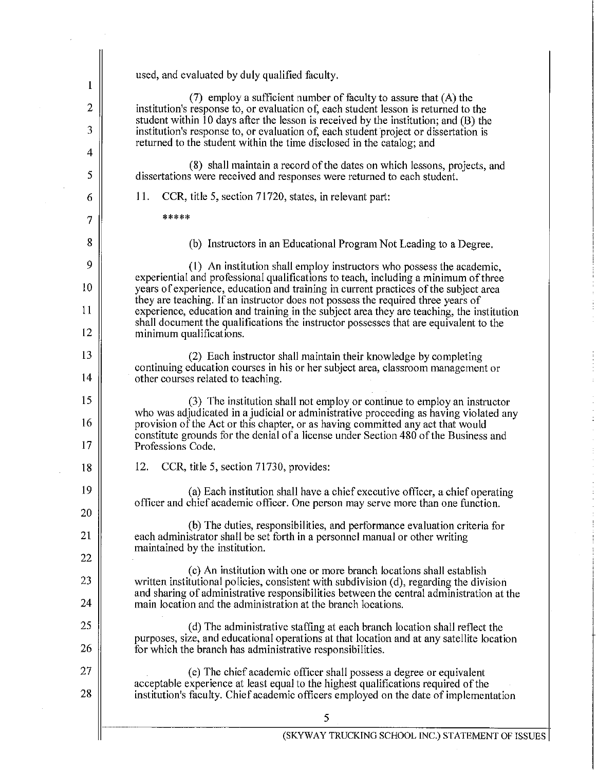|                     | used, and evaluated by duly qualified faculty.                                                                                                                                                                                                     |
|---------------------|----------------------------------------------------------------------------------------------------------------------------------------------------------------------------------------------------------------------------------------------------|
| 1                   | $(7)$ employ a sufficient number of faculty to assure that $(A)$ the                                                                                                                                                                               |
| $\overline{2}$<br>3 | institution's response to, or evaluation of, each student lesson is returned to the<br>student within $10$ days after the lesson is received by the institution; and $(B)$ the                                                                     |
| 4                   | institution's response to, or evaluation of, each student project or dissertation is<br>returned to the student within the time disclosed in the catalog; and                                                                                      |
| 5                   | (8) shall maintain a record of the dates on which lessons, projects, and<br>dissertations were received and responses were returned to each student.                                                                                               |
| 6                   | CCR, title 5, section 71720, states, in relevant part:<br>11.                                                                                                                                                                                      |
| 7                   | *****                                                                                                                                                                                                                                              |
| 8                   | (b) Instructors in an Educational Program Not Leading to a Degree.                                                                                                                                                                                 |
| 9                   | (1) An institution shall employ instructors who possess the academic,                                                                                                                                                                              |
| 10                  | experiential and professional qualifications to teach, including a minimum of three<br>years of experience, education and training in current practices of the subject area                                                                        |
| 11                  | they are teaching. If an instructor does not possess the required three years of<br>experience, education and training in the subject area they are teaching, the institution                                                                      |
| 12                  | shall document the qualifications the instructor possesses that are equivalent to the<br>minimum qualifications.                                                                                                                                   |
| 13                  | (2) Each instructor shall maintain their knowledge by completing                                                                                                                                                                                   |
| 14                  | continuing education courses in his or her subject area, classroom management or<br>other courses related to teaching.                                                                                                                             |
| 15                  | (3) The institution shall not employ or continue to employ an instructor<br>who was adjudicated in a judicial or administrative proceeding as having violated any                                                                                  |
| 16                  | provision of the Act or this chapter, or as having committed any act that would<br>constitute grounds for the denial of a license under Section 480 of the Business and                                                                            |
| 17                  | Professions Code.                                                                                                                                                                                                                                  |
| 18                  | CCR, title 5, section 71730, provides:<br>12.                                                                                                                                                                                                      |
| 19<br>20            | (a) Each institution shall have a chief executive officer, a chief operating<br>officer and chief academic officer. One person may serve more than one function.                                                                                   |
| 21                  | (b) The duties, responsibilities, and performance evaluation criteria for                                                                                                                                                                          |
| 22                  | each administrator shall be set forth in a personnel manual or other writing<br>maintained by the institution.                                                                                                                                     |
| 23                  | (c) An institution with one or more branch locations shall establish<br>written institutional policies, consistent with subdivision (d), regarding the division                                                                                    |
| 24                  | and sharing of administrative responsibilities between the central administration at the<br>main location and the administration at the branch locations.                                                                                          |
| 25                  | (d) The administrative staffing at each branch location shall reflect the                                                                                                                                                                          |
| 26                  | purposes, size, and educational operations at that location and at any satellite location<br>for which the branch has administrative responsibilities.                                                                                             |
| 27<br>28            | (e) The chief academic officer shall possess a degree or equivalent<br>acceptable experience at least equal to the highest qualifications required of the<br>institution's faculty. Chief academic officers employed on the date of implementation |
|                     | 5                                                                                                                                                                                                                                                  |
|                     | (SKYWAY TRUCKING SCHOOL INC.) STATEMENT OF ISSU                                                                                                                                                                                                    |

 $\bar{z}$ 

 $\mathcal{A}$ 

 $\hat{\boldsymbol{\beta}}$ 

(SKYWAY TRUCKING SCHOOL INC.) STATEMENT OF ISSUES

Ċ.

ċ

 $\frac{1}{2}$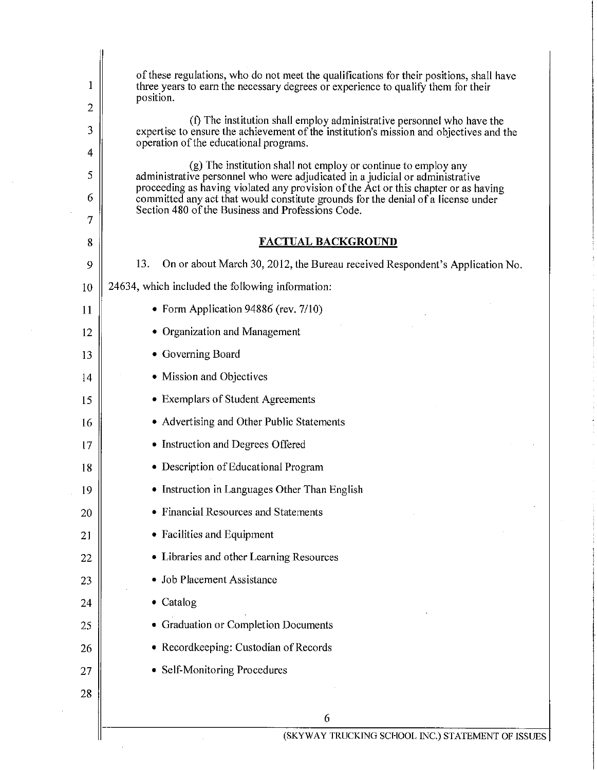| 1<br>2 | of these regulations, who do not meet the qualifications for their positions, shall have<br>three years to earn the necessary degrees or experience to qualify them for their<br>position. |  |
|--------|--------------------------------------------------------------------------------------------------------------------------------------------------------------------------------------------|--|
| 3      | (f) The institution shall employ administrative personnel who have the<br>expertise to ensure the achievement of the institution's mission and objectives and the                          |  |
| 4      | operation of the educational programs.                                                                                                                                                     |  |
| 5      | (g) The institution shall not employ or continue to employ any<br>administrative personnel who were adjudicated in a judicial or administrative                                            |  |
| 6      | proceeding as having violated any provision of the Act or this chapter or as having<br>committed any act that would constitute grounds for the denial of a license under                   |  |
| 7      | Section 480 of the Business and Professions Code.                                                                                                                                          |  |
| 8      | <b>FACTUAL BACKGROUND</b>                                                                                                                                                                  |  |
| 9      | 13.<br>On or about March 30, 2012, the Bureau received Respondent's Application No.                                                                                                        |  |
| 10     | 24634, which included the following information:                                                                                                                                           |  |
| 11     | • Form Application 94886 (rev. 7/10)                                                                                                                                                       |  |
| 12     | • Organization and Management                                                                                                                                                              |  |
| 13     | • Governing Board                                                                                                                                                                          |  |
| 14     | • Mission and Objectives                                                                                                                                                                   |  |
| 15     | • Exemplars of Student Agreements                                                                                                                                                          |  |
| 16     | • Advertising and Other Public Statements                                                                                                                                                  |  |
| 17     | • Instruction and Degrees Offered                                                                                                                                                          |  |
| 18     | • Description of Educational Program                                                                                                                                                       |  |
| 19     | Instruction in Languages Other Than English                                                                                                                                                |  |
| 20     | Financial Resources and Statements                                                                                                                                                         |  |
| 21     | • Facilities and Equipment                                                                                                                                                                 |  |
| 22     | • Libraries and other Learning Resources                                                                                                                                                   |  |
| 23     | Job Placement Assistance                                                                                                                                                                   |  |
| 24     | Catalog                                                                                                                                                                                    |  |
| 25     | • Graduation or Completion Documents                                                                                                                                                       |  |
| 26     | Recordkeeping: Custodian of Records                                                                                                                                                        |  |
| 27     | Self-Monitoring Procedures                                                                                                                                                                 |  |
| 28     |                                                                                                                                                                                            |  |
|        | 6                                                                                                                                                                                          |  |
|        | (SKYWAY TRUCKING SCHOOL INC.) STATEMENT OF ISSUES                                                                                                                                          |  |

 $\sim$ 

 $\sim$ 

 $\ddot{\phantom{a}}$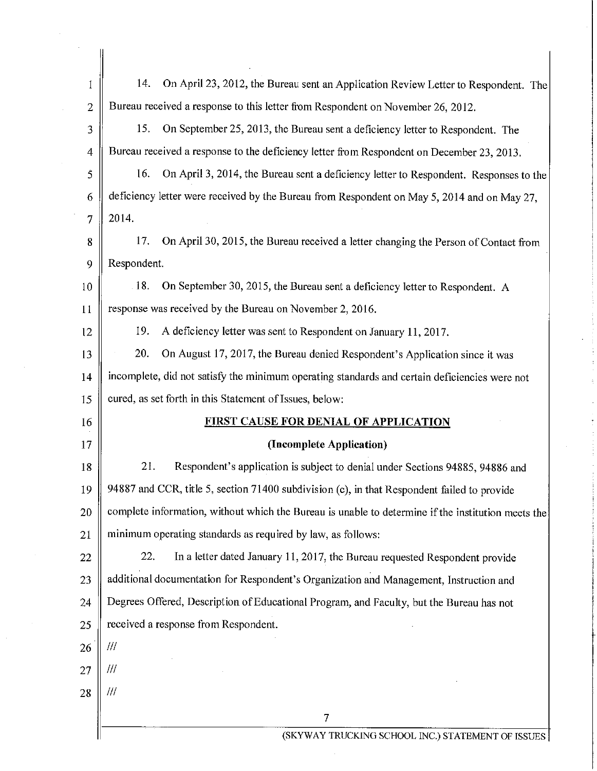| $\mathbf{1}$   | 14.<br>On April 23, 2012, the Bureau sent an Application Review Letter to Respondent. The          |  |
|----------------|----------------------------------------------------------------------------------------------------|--|
| $\overline{2}$ | Bureau received a response to this letter from Respondent on November 26, 2012.                    |  |
| 3              | 15.<br>On September 25, 2013, the Bureau sent a deficiency letter to Respondent. The               |  |
| 4              | Bureau received a response to the deficiency letter from Respondent on December 23, 2013.          |  |
| 5              | 16.<br>On April 3, 2014, the Bureau sent a deficiency letter to Respondent. Responses to the       |  |
| 6              | deficiency letter were received by the Bureau from Respondent on May 5, 2014 and on May 27,        |  |
| 7              | 2014.                                                                                              |  |
| 8              | 17.<br>On April 30, 2015, the Bureau received a letter changing the Person of Contact from         |  |
| 9              | Respondent.                                                                                        |  |
| 10             | $-18.$<br>On September 30, 2015, the Bureau sent a deficiency letter to Respondent. A              |  |
| 11             | response was received by the Bureau on November 2, 2016.                                           |  |
| 12             | 19.<br>A deficiency letter was sent to Respondent on January 11, 2017.                             |  |
| 13             | 20.<br>On August 17, 2017, the Bureau denied Respondent's Application since it was                 |  |
| 14             | incomplete, did not satisfy the minimum operating standards and certain deficiencies were not      |  |
| 15             | cured, as set forth in this Statement of Issues, below:                                            |  |
| 16             | <b>FIRST CAUSE FOR DENIAL OF APPLICATION</b>                                                       |  |
| 17             | (Incomplete Application)                                                                           |  |
| 18             | 21.<br>Respondent's application is subject to denial under Sections 94885, 94886 and               |  |
| 19             | 94887 and CCR, title 5, section 71400 subdivision (c), in that Respondent failed to provide        |  |
| 20             | complete information, without which the Bureau is unable to determine if the institution meets the |  |
| 21             | minimum operating standards as required by law, as follows:                                        |  |
| 22             | 22.<br>In a letter dated January 11, 2017, the Bureau requested Respondent provide                 |  |
| 23             | additional documentation for Respondent's Organization and Management, Instruction and             |  |
| 24             | Degrees Offered, Description of Educational Program, and Faculty, but the Bureau has not           |  |
| 25             | received a response from Respondent.                                                               |  |
| 26             | 111                                                                                                |  |
| 27             | 111                                                                                                |  |
| 28             | 111                                                                                                |  |
|                | 7                                                                                                  |  |
|                | (SKYWAY TRUCKING SCHOOL INC.) STATEMENT OF ISSUES                                                  |  |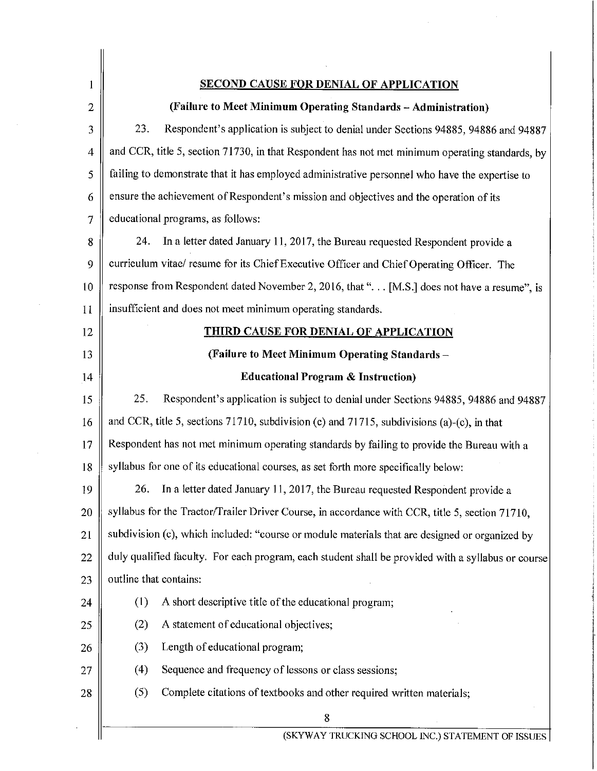| 1              | <b>SECOND CAUSE FOR DENIAL OF APPLICATION</b>                                                      |  |  |
|----------------|----------------------------------------------------------------------------------------------------|--|--|
| $\overline{2}$ | (Failure to Meet Minimum Operating Standards - Administration)                                     |  |  |
| 3              | 23.<br>Respondent's application is subject to denial under Sections 94885, 94886 and 94887         |  |  |
| $\overline{4}$ | and CCR, title 5, section 71730, in that Respondent has not met minimum operating standards, by    |  |  |
| 5              | failing to demonstrate that it has employed administrative personnel who have the expertise to     |  |  |
| 6              | ensure the achievement of Respondent's mission and objectives and the operation of its             |  |  |
| $\mathcal I$   | educational programs, as follows:                                                                  |  |  |
| 8              | 24.<br>In a letter dated January 11, 2017, the Bureau requested Respondent provide a               |  |  |
| 9              | curriculum vitae/ resume for its Chief Executive Officer and Chief Operating Officer. The          |  |  |
| 10             | response from Respondent dated November 2, 2016, that ". [M.S.] does not have a resume", is        |  |  |
| 11             | insufficient and does not meet minimum operating standards.                                        |  |  |
| 12             | <b>THIRD CAUSE FOR DENIAL OF APPLICATION</b>                                                       |  |  |
| 13             | (Failure to Meet Minimum Operating Standards -                                                     |  |  |
| 14             | <b>Educational Program &amp; Instruction)</b>                                                      |  |  |
| 15             | 25.<br>Respondent's application is subject to denial under Sections 94885, 94886 and 94887         |  |  |
| 16             | and CCR, title 5, sections $71710$ , subdivision (c) and $71715$ , subdivisions (a)-(c), in that   |  |  |
| 17             | Respondent has not met minimum operating standards by failing to provide the Bureau with a         |  |  |
| 18             | syllabus for one of its educational courses, as set forth more specifically below:                 |  |  |
| 19             | In a letter dated January 11, 2017, the Bureau requested Respondent provide a<br>26.               |  |  |
| 20             | syllabus for the Tractor/Trailer Driver Course, in accordance with CCR, title 5, section 71710,    |  |  |
| 21             | subdivision (c), which included: "course or module materials that are designed or organized by     |  |  |
| 22             | duly qualified faculty. For each program, each student shall be provided with a syllabus or course |  |  |
| 23             | outline that contains:                                                                             |  |  |
| 24             | (1)<br>A short descriptive title of the educational program;                                       |  |  |
| 25             | A statement of educational objectives;<br>(2)                                                      |  |  |
| 26             | Length of educational program;<br>(3)                                                              |  |  |
| 27             | Sequence and frequency of lessons or class sessions;<br>(4)                                        |  |  |
| 28             | (5)<br>Complete citations of textbooks and other required written materials;                       |  |  |
|                | 8                                                                                                  |  |  |

 $\mathcal{L}^{\pm}$ 

 $\hat{\mathcal{L}}$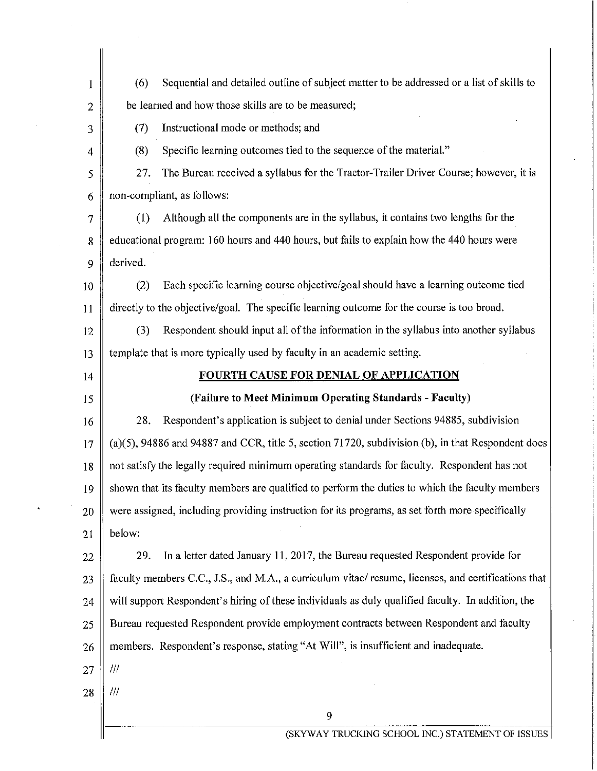| 1              | (6)                                                                                               | Sequential and detailed outline of subject matter to be addressed or a list of skills to             |
|----------------|---------------------------------------------------------------------------------------------------|------------------------------------------------------------------------------------------------------|
| $\overline{2}$ | be learned and how those skills are to be measured;                                               |                                                                                                      |
| 3              | (7)                                                                                               | Instructional mode or methods; and                                                                   |
| $\overline{4}$ | (8)                                                                                               | Specific learning outcomes tied to the sequence of the material."                                    |
| 5              | 27.                                                                                               | The Bureau received a syllabus for the Tractor-Trailer Driver Course; however, it is                 |
| 6              |                                                                                                   | non-compliant, as follows:                                                                           |
| 7              | (1)                                                                                               | Although all the components are in the syllabus, it contains two lengths for the                     |
| 8              |                                                                                                   | educational program: 160 hours and 440 hours, but fails to explain how the 440 hours were            |
| 9              | derived.                                                                                          |                                                                                                      |
| 10             | (2)                                                                                               | Each specific learning course objective/goal should have a learning outcome tied                     |
| 11             |                                                                                                   | directly to the objective/goal. The specific learning outcome for the course is too broad.           |
| 12             | (3)                                                                                               | Respondent should input all of the information in the syllabus into another syllabus                 |
| 13             |                                                                                                   | template that is more typically used by faculty in an academic setting.                              |
| 14             |                                                                                                   | <b>FOURTH CAUSE FOR DENIAL OF APPLICATION</b>                                                        |
| 15             |                                                                                                   | (Failure to Meet Minimum Operating Standards - Faculty)                                              |
| 16             | 28.                                                                                               | Respondent's application is subject to denial under Sections 94885, subdivision                      |
| 17             |                                                                                                   | $(a)(5)$ , 94886 and 94887 and CCR, title 5, section 71720, subdivision (b), in that Respondent does |
| 18             |                                                                                                   | not satisfy the legally required minimum operating standards for faculty. Respondent has not         |
| 19             |                                                                                                   | shown that its faculty members are qualified to perform the duties to which the faculty members      |
| 20             | were assigned, including providing instruction for its programs, as set forth more specifically   |                                                                                                      |
| 21             | below:                                                                                            |                                                                                                      |
| 22             | 29.                                                                                               | In a letter dated January 11, 2017, the Bureau requested Respondent provide for                      |
| 23             |                                                                                                   | faculty members C.C., J.S., and M.A., a curriculum vitae/ resume, licenses, and certifications that  |
| 24             | will support Respondent's hiring of these individuals as duly qualified faculty. In addition, the |                                                                                                      |
| 25             | Bureau requested Respondent provide employment contracts between Respondent and faculty           |                                                                                                      |
| 26             |                                                                                                   | members. Respondent's response, stating "At Will", is insufficient and inadequate.                   |
| 27             | 111                                                                                               |                                                                                                      |
| 28             | Ш                                                                                                 |                                                                                                      |
|                |                                                                                                   | 9                                                                                                    |
|                |                                                                                                   | (SKYWAY TRUCKING SCHOOL INC.) STATEMENT OF ISSUES                                                    |

 $\bar{\lambda}$ 

 $\sim$   $\sim$